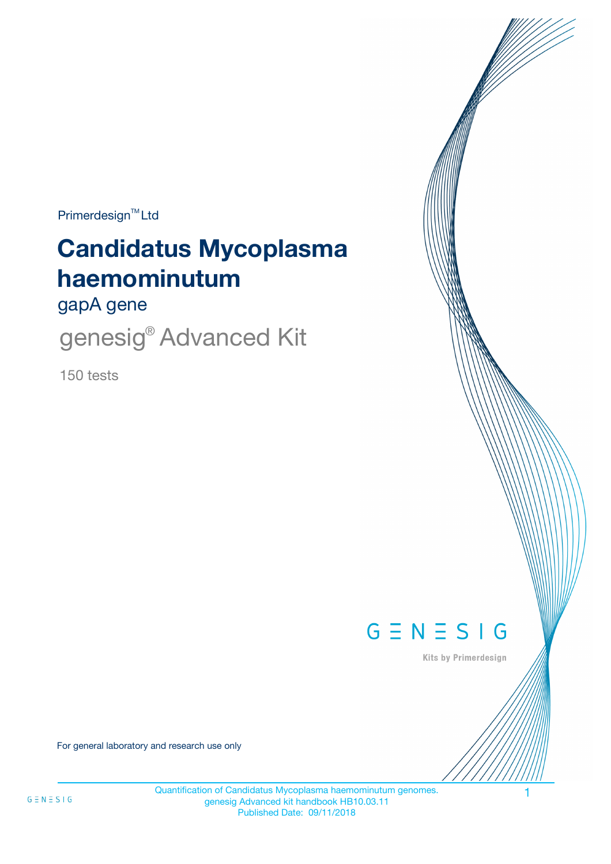$Primerdesign^{\text{TM}}$ Ltd

# **Candidatus Mycoplasma haemominutum**

gapA gene

genesig<sup>®</sup> Advanced Kit

150 tests



Kits by Primerdesign

For general laboratory and research use only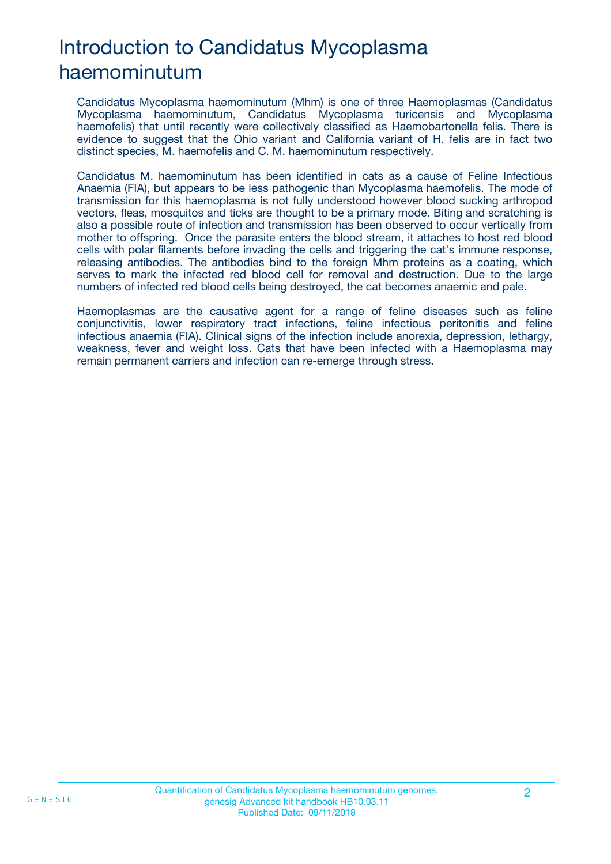# Introduction to Candidatus Mycoplasma haemominutum

Candidatus Mycoplasma haemominutum (Mhm) is one of three Haemoplasmas (Candidatus Mycoplasma haemominutum, Candidatus Mycoplasma turicensis and Mycoplasma haemofelis) that until recently were collectively classified as Haemobartonella felis. There is evidence to suggest that the Ohio variant and California variant of H. felis are in fact two distinct species, M. haemofelis and C. M. haemominutum respectively.

Candidatus M. haemominutum has been identified in cats as a cause of Feline Infectious Anaemia (FIA), but appears to be less pathogenic than Mycoplasma haemofelis. The mode of transmission for this haemoplasma is not fully understood however blood sucking arthropod vectors, fleas, mosquitos and ticks are thought to be a primary mode. Biting and scratching is also a possible route of infection and transmission has been observed to occur vertically from mother to offspring. Once the parasite enters the blood stream, it attaches to host red blood cells with polar filaments before invading the cells and triggering the cat's immune response, releasing antibodies. The antibodies bind to the foreign Mhm proteins as a coating, which serves to mark the infected red blood cell for removal and destruction. Due to the large numbers of infected red blood cells being destroyed, the cat becomes anaemic and pale.

Haemoplasmas are the causative agent for a range of feline diseases such as feline conjunctivitis, lower respiratory tract infections, feline infectious peritonitis and feline infectious anaemia (FIA). Clinical signs of the infection include anorexia, depression, lethargy, weakness, fever and weight loss. Cats that have been infected with a Haemoplasma may remain permanent carriers and infection can re-emerge through stress.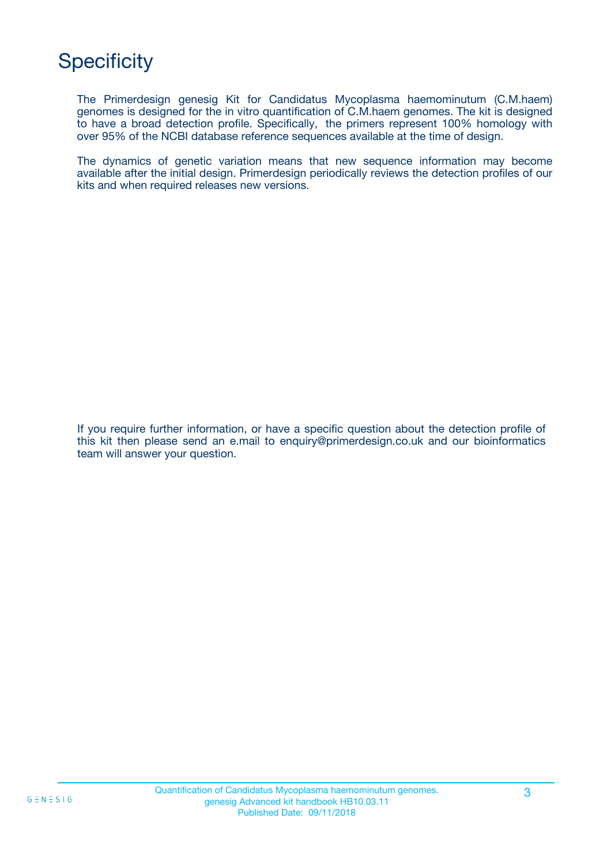# **Specificity**

The Primerdesign genesig Kit for Candidatus Mycoplasma haemominutum (C.M.haem) genomes is designed for the in vitro quantification of C.M.haem genomes. The kit is designed to have a broad detection profile. Specifically, the primers represent 100% homology with over 95% of the NCBI database reference sequences available at the time of design.

The dynamics of genetic variation means that new sequence information may become available after the initial design. Primerdesign periodically reviews the detection profiles of our kits and when required releases new versions.

If you require further information, or have a specific question about the detection profile of this kit then please send an e.mail to enquiry@primerdesign.co.uk and our bioinformatics team will answer your question.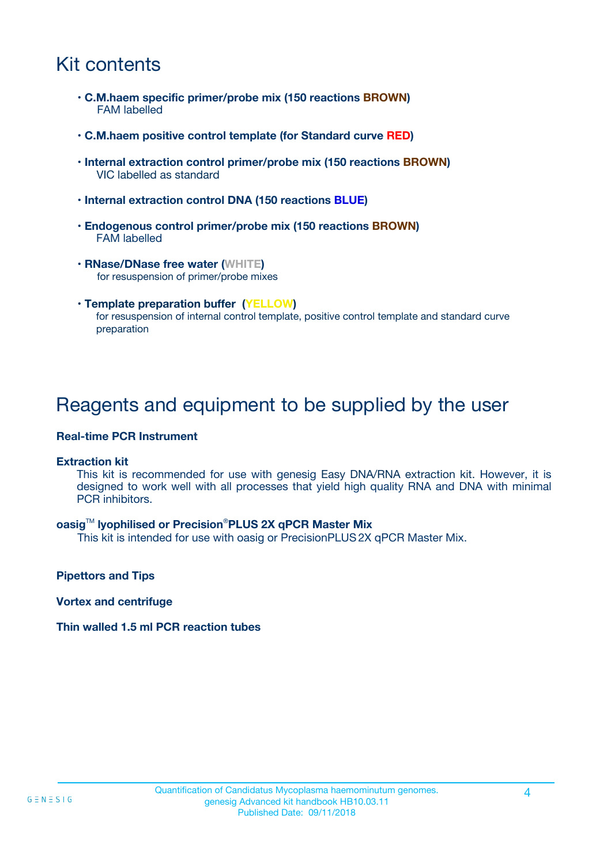### Kit contents

- **C.M.haem specific primer/probe mix (150 reactions BROWN)** FAM labelled
- **C.M.haem positive control template (for Standard curve RED)**
- **Internal extraction control primer/probe mix (150 reactions BROWN)** VIC labelled as standard
- **Internal extraction control DNA (150 reactions BLUE)**
- **Endogenous control primer/probe mix (150 reactions BROWN)** FAM labelled
- **RNase/DNase free water (WHITE)** for resuspension of primer/probe mixes
- **Template preparation buffer (YELLOW)** for resuspension of internal control template, positive control template and standard curve preparation

### Reagents and equipment to be supplied by the user

#### **Real-time PCR Instrument**

#### **Extraction kit**

This kit is recommended for use with genesig Easy DNA/RNA extraction kit. However, it is designed to work well with all processes that yield high quality RNA and DNA with minimal PCR inhibitors.

#### **oasig**TM **lyophilised or Precision**®**PLUS 2X qPCR Master Mix**

This kit is intended for use with oasig or PrecisionPLUS2X qPCR Master Mix.

**Pipettors and Tips**

**Vortex and centrifuge**

#### **Thin walled 1.5 ml PCR reaction tubes**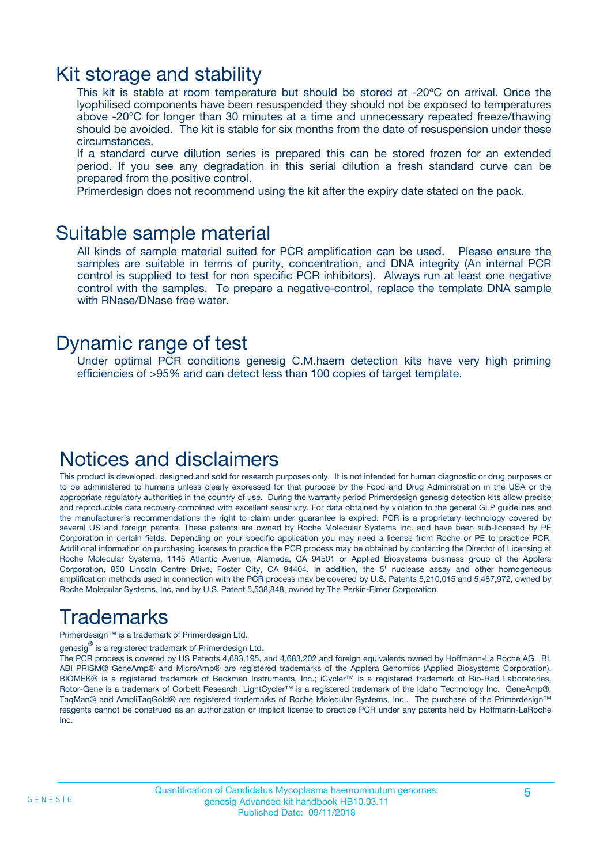### Kit storage and stability

This kit is stable at room temperature but should be stored at -20ºC on arrival. Once the lyophilised components have been resuspended they should not be exposed to temperatures above -20°C for longer than 30 minutes at a time and unnecessary repeated freeze/thawing should be avoided. The kit is stable for six months from the date of resuspension under these circumstances.

If a standard curve dilution series is prepared this can be stored frozen for an extended period. If you see any degradation in this serial dilution a fresh standard curve can be prepared from the positive control.

Primerdesign does not recommend using the kit after the expiry date stated on the pack.

### Suitable sample material

All kinds of sample material suited for PCR amplification can be used. Please ensure the samples are suitable in terms of purity, concentration, and DNA integrity (An internal PCR control is supplied to test for non specific PCR inhibitors). Always run at least one negative control with the samples. To prepare a negative-control, replace the template DNA sample with RNase/DNase free water.

### Dynamic range of test

Under optimal PCR conditions genesig C.M.haem detection kits have very high priming efficiencies of >95% and can detect less than 100 copies of target template.

### Notices and disclaimers

This product is developed, designed and sold for research purposes only. It is not intended for human diagnostic or drug purposes or to be administered to humans unless clearly expressed for that purpose by the Food and Drug Administration in the USA or the appropriate regulatory authorities in the country of use. During the warranty period Primerdesign genesig detection kits allow precise and reproducible data recovery combined with excellent sensitivity. For data obtained by violation to the general GLP guidelines and the manufacturer's recommendations the right to claim under guarantee is expired. PCR is a proprietary technology covered by several US and foreign patents. These patents are owned by Roche Molecular Systems Inc. and have been sub-licensed by PE Corporation in certain fields. Depending on your specific application you may need a license from Roche or PE to practice PCR. Additional information on purchasing licenses to practice the PCR process may be obtained by contacting the Director of Licensing at Roche Molecular Systems, 1145 Atlantic Avenue, Alameda, CA 94501 or Applied Biosystems business group of the Applera Corporation, 850 Lincoln Centre Drive, Foster City, CA 94404. In addition, the 5' nuclease assay and other homogeneous amplification methods used in connection with the PCR process may be covered by U.S. Patents 5,210,015 and 5,487,972, owned by Roche Molecular Systems, Inc, and by U.S. Patent 5,538,848, owned by The Perkin-Elmer Corporation.

## Trademarks

Primerdesign™ is a trademark of Primerdesign Ltd.

genesig $^\circledR$  is a registered trademark of Primerdesign Ltd.

The PCR process is covered by US Patents 4,683,195, and 4,683,202 and foreign equivalents owned by Hoffmann-La Roche AG. BI, ABI PRISM® GeneAmp® and MicroAmp® are registered trademarks of the Applera Genomics (Applied Biosystems Corporation). BIOMEK® is a registered trademark of Beckman Instruments, Inc.; iCycler™ is a registered trademark of Bio-Rad Laboratories, Rotor-Gene is a trademark of Corbett Research. LightCycler™ is a registered trademark of the Idaho Technology Inc. GeneAmp®, TaqMan® and AmpliTaqGold® are registered trademarks of Roche Molecular Systems, Inc., The purchase of the Primerdesign™ reagents cannot be construed as an authorization or implicit license to practice PCR under any patents held by Hoffmann-LaRoche Inc.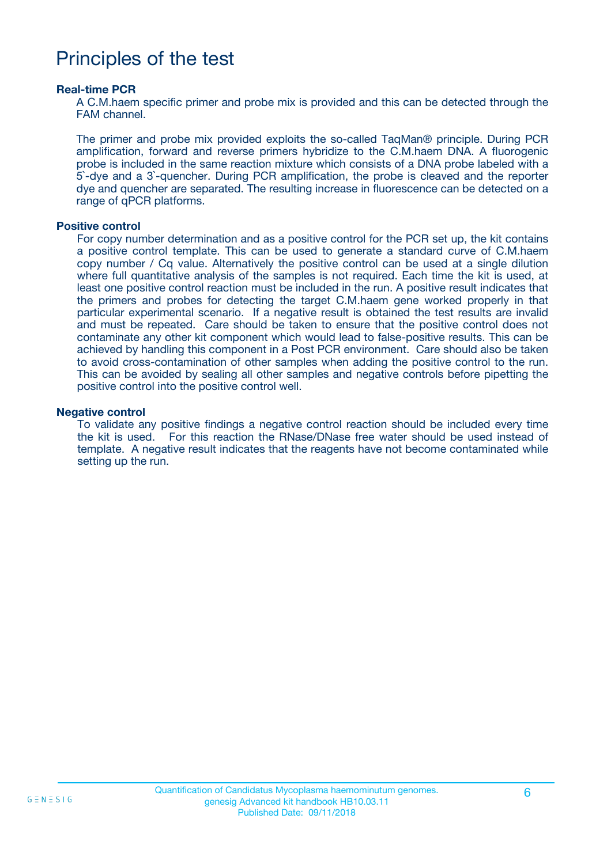### Principles of the test

#### **Real-time PCR**

A C.M.haem specific primer and probe mix is provided and this can be detected through the FAM channel.

The primer and probe mix provided exploits the so-called TaqMan® principle. During PCR amplification, forward and reverse primers hybridize to the C.M.haem DNA. A fluorogenic probe is included in the same reaction mixture which consists of a DNA probe labeled with a 5`-dye and a 3`-quencher. During PCR amplification, the probe is cleaved and the reporter dye and quencher are separated. The resulting increase in fluorescence can be detected on a range of qPCR platforms.

#### **Positive control**

For copy number determination and as a positive control for the PCR set up, the kit contains a positive control template. This can be used to generate a standard curve of C.M.haem copy number / Cq value. Alternatively the positive control can be used at a single dilution where full quantitative analysis of the samples is not required. Each time the kit is used, at least one positive control reaction must be included in the run. A positive result indicates that the primers and probes for detecting the target C.M.haem gene worked properly in that particular experimental scenario. If a negative result is obtained the test results are invalid and must be repeated. Care should be taken to ensure that the positive control does not contaminate any other kit component which would lead to false-positive results. This can be achieved by handling this component in a Post PCR environment. Care should also be taken to avoid cross-contamination of other samples when adding the positive control to the run. This can be avoided by sealing all other samples and negative controls before pipetting the positive control into the positive control well.

#### **Negative control**

To validate any positive findings a negative control reaction should be included every time the kit is used. For this reaction the RNase/DNase free water should be used instead of template. A negative result indicates that the reagents have not become contaminated while setting up the run.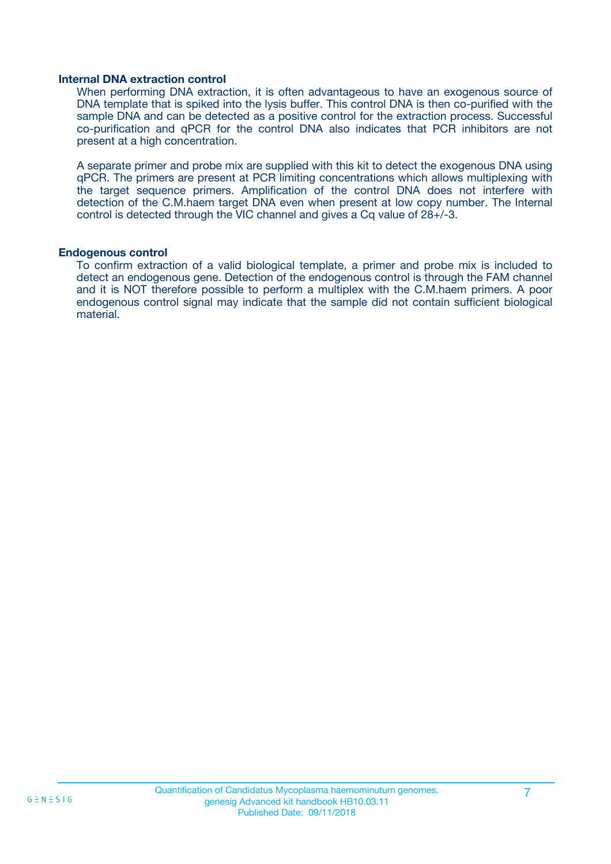#### **Internal DNA extraction control**

When performing DNA extraction, it is often advantageous to have an exogenous source of DNA template that is spiked into the lysis buffer. This control DNA is then co-purified with the sample DNA and can be detected as a positive control for the extraction process. Successful co-purification and qPCR for the control DNA also indicates that PCR inhibitors are not present at a high concentration.

A separate primer and probe mix are supplied with this kit to detect the exogenous DNA using qPCR. The primers are present at PCR limiting concentrations which allows multiplexing with the target sequence primers. Amplification of the control DNA does not interfere with detection of the C.M.haem target DNA even when present at low copy number. The Internal control is detected through the VIC channel and gives a Cq value of 28+/-3.

#### **Endogenous control**

To confirm extraction of a valid biological template, a primer and probe mix is included to detect an endogenous gene. Detection of the endogenous control is through the FAM channel and it is NOT therefore possible to perform a multiplex with the C.M.haem primers. A poor endogenous control signal may indicate that the sample did not contain sufficient biological material.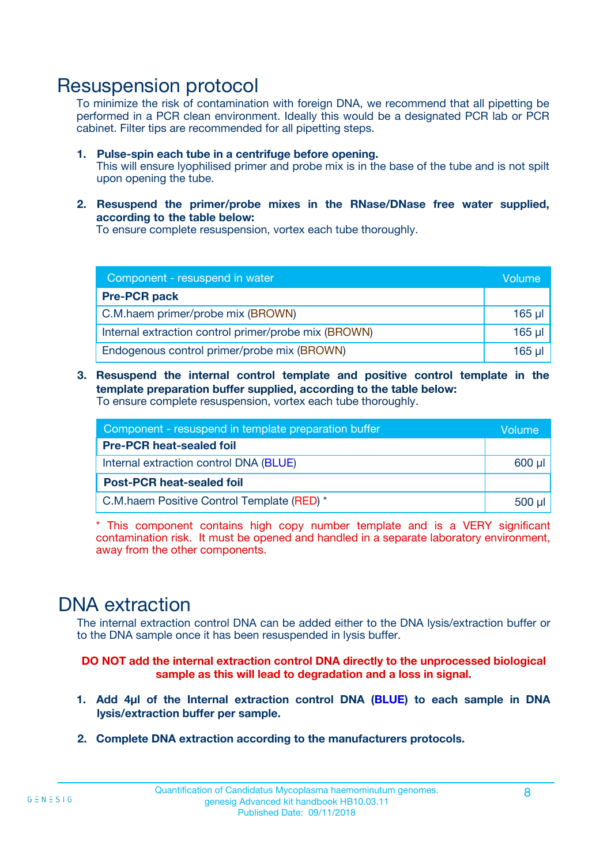### Resuspension protocol

To minimize the risk of contamination with foreign DNA, we recommend that all pipetting be performed in a PCR clean environment. Ideally this would be a designated PCR lab or PCR cabinet. Filter tips are recommended for all pipetting steps.

- **1. Pulse-spin each tube in a centrifuge before opening.** This will ensure lyophilised primer and probe mix is in the base of the tube and is not spilt upon opening the tube.
- **2. Resuspend the primer/probe mixes in the RNase/DNase free water supplied, according to the table below:**

To ensure complete resuspension, vortex each tube thoroughly.

| Component - resuspend in water                       |          |  |
|------------------------------------------------------|----------|--|
| <b>Pre-PCR pack</b>                                  |          |  |
| C.M.haem primer/probe mix (BROWN)                    | $165$ µl |  |
| Internal extraction control primer/probe mix (BROWN) | $165$ µl |  |
| Endogenous control primer/probe mix (BROWN)          | 165 µl   |  |

**3. Resuspend the internal control template and positive control template in the template preparation buffer supplied, according to the table below:** To ensure complete resuspension, vortex each tube thoroughly.

| Component - resuspend in template preparation buffer |  |  |  |
|------------------------------------------------------|--|--|--|
| <b>Pre-PCR heat-sealed foil</b>                      |  |  |  |
| Internal extraction control DNA (BLUE)               |  |  |  |
| <b>Post-PCR heat-sealed foil</b>                     |  |  |  |
| C.M.haem Positive Control Template (RED) *           |  |  |  |

\* This component contains high copy number template and is a VERY significant contamination risk. It must be opened and handled in a separate laboratory environment, away from the other components.

### DNA extraction

The internal extraction control DNA can be added either to the DNA lysis/extraction buffer or to the DNA sample once it has been resuspended in lysis buffer.

**DO NOT add the internal extraction control DNA directly to the unprocessed biological sample as this will lead to degradation and a loss in signal.**

- **1. Add 4µl of the Internal extraction control DNA (BLUE) to each sample in DNA lysis/extraction buffer per sample.**
- **2. Complete DNA extraction according to the manufacturers protocols.**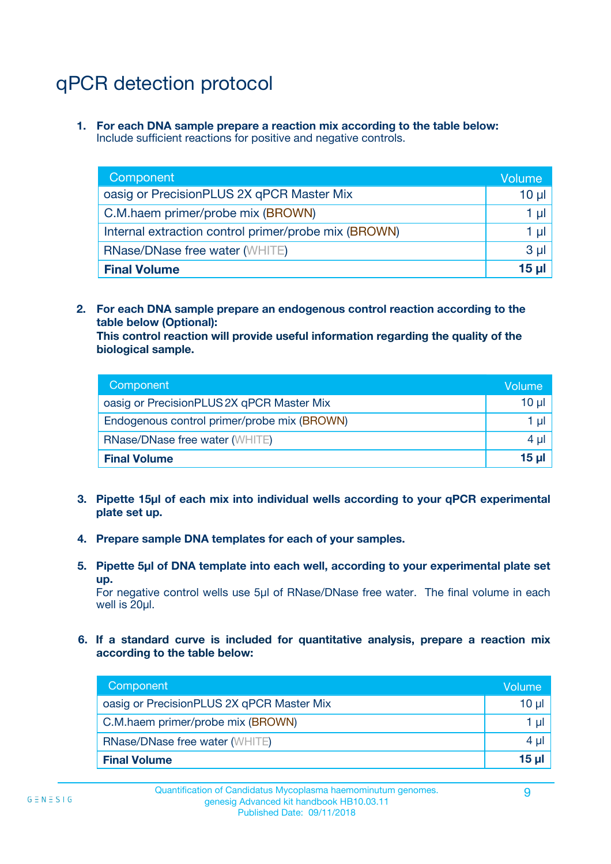# qPCR detection protocol

**1. For each DNA sample prepare a reaction mix according to the table below:** Include sufficient reactions for positive and negative controls.

| Component                                            | Volume   |
|------------------------------------------------------|----------|
| oasig or PrecisionPLUS 2X qPCR Master Mix            | $10 \mu$ |
| C.M.haem primer/probe mix (BROWN)                    | 1 µI l   |
| Internal extraction control primer/probe mix (BROWN) | 1 µl     |
| <b>RNase/DNase free water (WHITE)</b>                | $3 \mu$  |
| <b>Final Volume</b>                                  | 15 µl    |

**2. For each DNA sample prepare an endogenous control reaction according to the table below (Optional):**

**This control reaction will provide useful information regarding the quality of the biological sample.**

| Component                                   | Volume   |
|---------------------------------------------|----------|
| oasig or PrecisionPLUS 2X qPCR Master Mix   | $10 \mu$ |
| Endogenous control primer/probe mix (BROWN) | 1 µI     |
| <b>RNase/DNase free water (WHITE)</b>       | $4 \mu$  |
| <b>Final Volume</b>                         | 15 µl    |

- **3. Pipette 15µl of each mix into individual wells according to your qPCR experimental plate set up.**
- **4. Prepare sample DNA templates for each of your samples.**
- **5. Pipette 5µl of DNA template into each well, according to your experimental plate set up.**

For negative control wells use 5µl of RNase/DNase free water. The final volume in each well is 20ul.

**6. If a standard curve is included for quantitative analysis, prepare a reaction mix according to the table below:**

| Component                                 | Volume   |
|-------------------------------------------|----------|
| oasig or PrecisionPLUS 2X qPCR Master Mix | $10 \mu$ |
| C.M.haem primer/probe mix (BROWN)         |          |
| <b>RNase/DNase free water (WHITE)</b>     | 4 µl     |
| <b>Final Volume</b>                       | 15 µl    |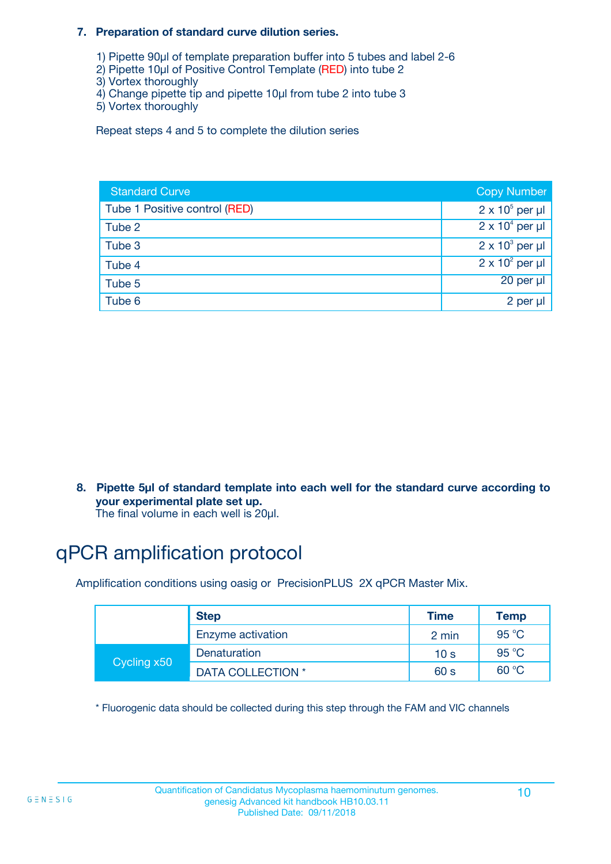#### **7. Preparation of standard curve dilution series.**

- 1) Pipette 90µl of template preparation buffer into 5 tubes and label 2-6
- 2) Pipette 10µl of Positive Control Template (RED) into tube 2
- 3) Vortex thoroughly
- 4) Change pipette tip and pipette 10µl from tube 2 into tube 3
- 5) Vortex thoroughly

Repeat steps 4 and 5 to complete the dilution series

| <b>Standard Curve</b>         | <b>Copy Number</b>     |
|-------------------------------|------------------------|
| Tube 1 Positive control (RED) | $2 \times 10^5$ per µl |
| Tube 2                        | $2 \times 10^4$ per µl |
| Tube 3                        | $2 \times 10^3$ per µl |
| Tube 4                        | $2 \times 10^2$ per µl |
| Tube 5                        | 20 per µl              |
| Tube 6                        | 2 per µl               |

**8. Pipette 5µl of standard template into each well for the standard curve according to your experimental plate set up.**

#### The final volume in each well is 20µl.

## qPCR amplification protocol

Amplification conditions using oasig or PrecisionPLUS 2X qPCR Master Mix.

|             | <b>Step</b>       | <b>Time</b>     | Temp    |
|-------------|-------------------|-----------------|---------|
|             | Enzyme activation | 2 min           | 95 °C   |
| Cycling x50 | Denaturation      | 10 <sub>s</sub> | 95 $°C$ |
|             | DATA COLLECTION * | 60 s            | 60 °C   |

\* Fluorogenic data should be collected during this step through the FAM and VIC channels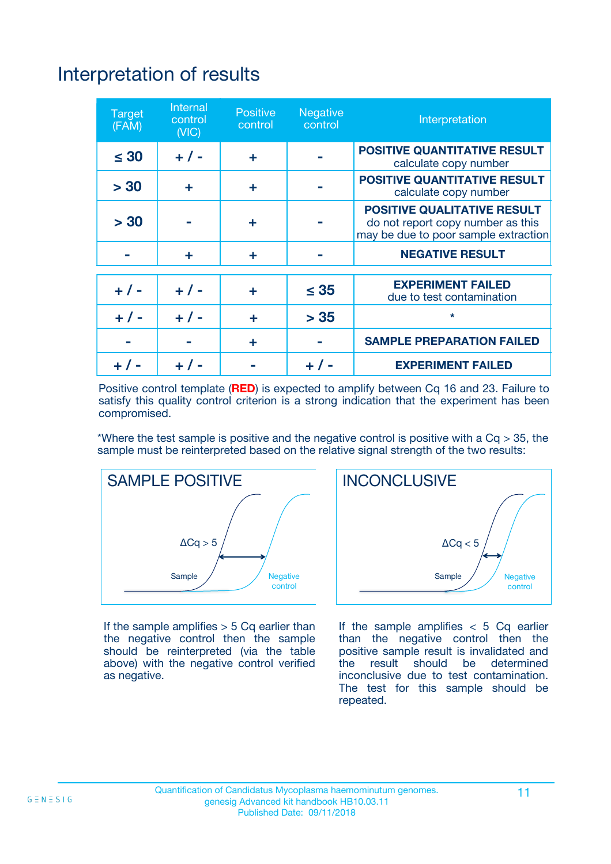# Interpretation of results

| <b>Target</b><br>(FAM) | <b>Internal</b><br>control<br>(NIC) | <b>Positive</b><br>control | <b>Negative</b><br>control | Interpretation                                                                                                  |
|------------------------|-------------------------------------|----------------------------|----------------------------|-----------------------------------------------------------------------------------------------------------------|
| $\leq 30$              | $+ 1 -$                             | ÷                          |                            | <b>POSITIVE QUANTITATIVE RESULT</b><br>calculate copy number                                                    |
| > 30                   | ٠                                   | ÷                          |                            | <b>POSITIVE QUANTITATIVE RESULT</b><br>calculate copy number                                                    |
| > 30                   |                                     | ÷                          |                            | <b>POSITIVE QUALITATIVE RESULT</b><br>do not report copy number as this<br>may be due to poor sample extraction |
|                        | ÷                                   | ÷                          |                            | <b>NEGATIVE RESULT</b>                                                                                          |
| $+ 1 -$                | $+ 1 -$                             | ÷                          | $\leq$ 35                  | <b>EXPERIMENT FAILED</b><br>due to test contamination                                                           |
| $+$ / -                | $+ 1 -$                             | ÷                          | > 35                       | $\star$                                                                                                         |
|                        |                                     | ÷                          |                            | <b>SAMPLE PREPARATION FAILED</b>                                                                                |
|                        |                                     |                            | $+$ /                      | <b>EXPERIMENT FAILED</b>                                                                                        |

Positive control template (**RED**) is expected to amplify between Cq 16 and 23. Failure to satisfy this quality control criterion is a strong indication that the experiment has been compromised.

\*Where the test sample is positive and the negative control is positive with a  $Ca > 35$ , the sample must be reinterpreted based on the relative signal strength of the two results:



If the sample amplifies  $> 5$  Cq earlier than the negative control then the sample should be reinterpreted (via the table above) with the negative control verified as negative.



If the sample amplifies  $< 5$  Cq earlier than the negative control then the positive sample result is invalidated and<br>the result should be determined  $the$  result should be inconclusive due to test contamination. The test for this sample should be repeated.